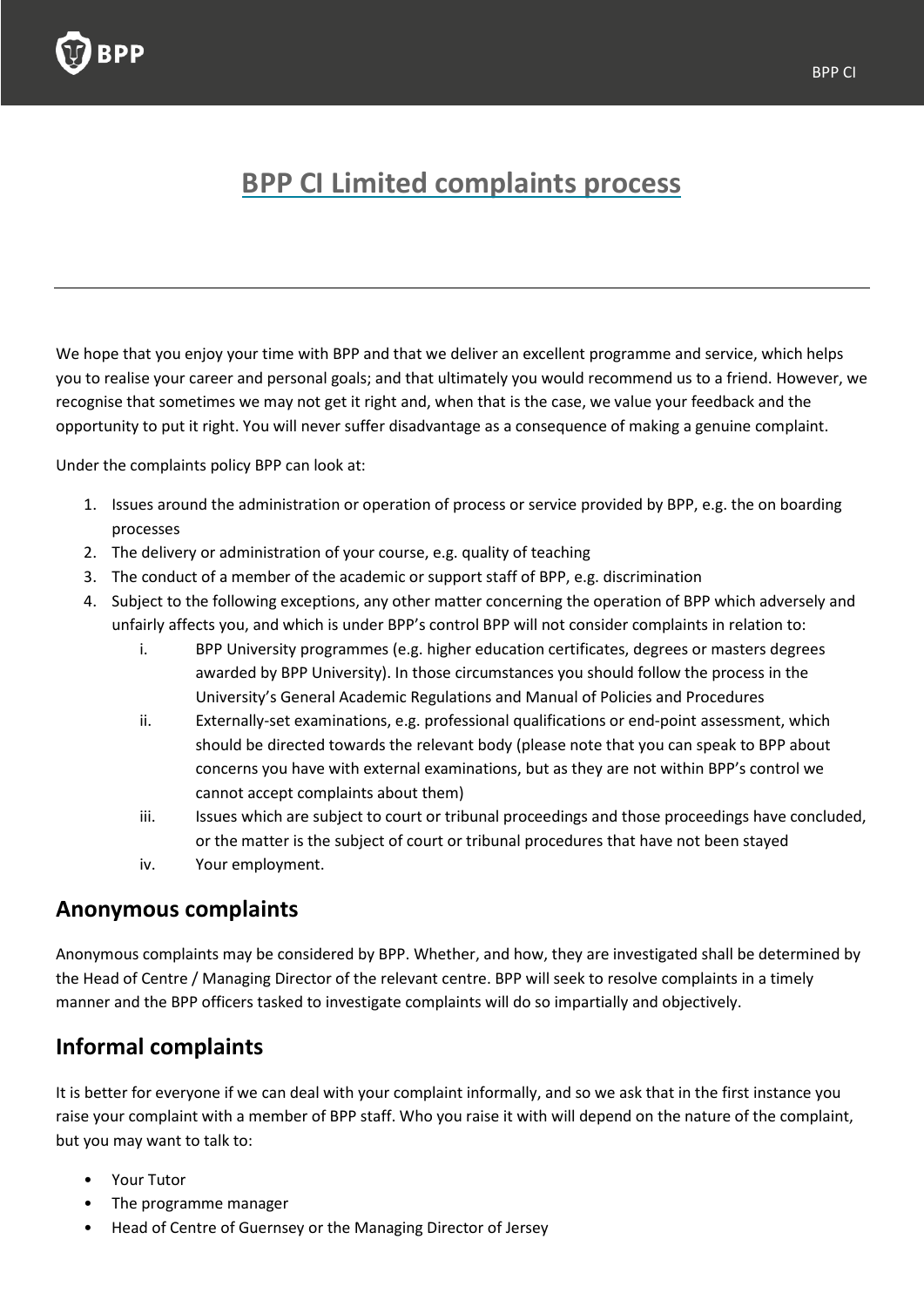

# **BPP CI Limited complaints process**

We hope that you enjoy your time with BPP and that we deliver an excellent programme and service, which helps you to realise your career and personal goals; and that ultimately you would recommend us to a friend. However, we recognise that sometimes we may not get it right and, when that is the case, we value your feedback and the opportunity to put it right. You will never suffer disadvantage as a consequence of making a genuine complaint.

Under the complaints policy BPP can look at:

- 1. Issues around the administration or operation of process or service provided by BPP, e.g. the on boarding processes
- 2. The delivery or administration of your course, e.g. quality of teaching
- 3. The conduct of a member of the academic or support staff of BPP, e.g. discrimination
- 4. Subject to the following exceptions, any other matter concerning the operation of BPP which adversely and unfairly affects you, and which is under BPP's control BPP will not consider complaints in relation to:
	- i. BPP University programmes (e.g. higher education certificates, degrees or masters degrees awarded by BPP University). In those circumstances you should follow the process in the University's General Academic Regulations and Manual of Policies and Procedures
	- ii. Externally-set examinations, e.g. professional qualifications or end-point assessment, which should be directed towards the relevant body (please note that you can speak to BPP about concerns you have with external examinations, but as they are not within BPP's control we cannot accept complaints about them)
	- iii. Issues which are subject to court or tribunal proceedings and those proceedings have concluded, or the matter is the subject of court or tribunal procedures that have not been stayed
	- iv. Your employment.

#### **Anonymous complaints**

Anonymous complaints may be considered by BPP. Whether, and how, they are investigated shall be determined by the Head of Centre / Managing Director of the relevant centre. BPP will seek to resolve complaints in a timely manner and the BPP officers tasked to investigate complaints will do so impartially and objectively.

## **Informal complaints**

It is better for everyone if we can deal with your complaint informally, and so we ask that in the first instance you raise your complaint with a member of BPP staff. Who you raise it with will depend on the nature of the complaint, but you may want to talk to:

- Your Tutor
- The programme manager
- Head of Centre of Guernsey or the Managing Director of Jersey